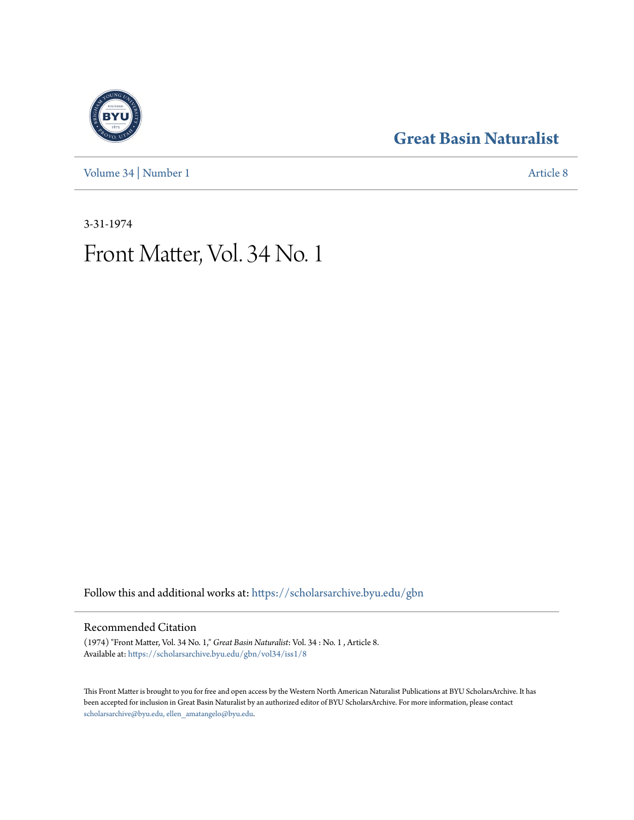[Volume 34](https://scholarsarchive.byu.edu/gbn/vol34?utm_source=scholarsarchive.byu.edu%2Fgbn%2Fvol34%2Fiss1%2F8&utm_medium=PDF&utm_campaign=PDFCoverPages) | [Number 1](https://scholarsarchive.byu.edu/gbn/vol34/iss1?utm_source=scholarsarchive.byu.edu%2Fgbn%2Fvol34%2Fiss1%2F8&utm_medium=PDF&utm_campaign=PDFCoverPages) [Article 8](https://scholarsarchive.byu.edu/gbn/vol34/iss1/8?utm_source=scholarsarchive.byu.edu%2Fgbn%2Fvol34%2Fiss1%2F8&utm_medium=PDF&utm_campaign=PDFCoverPages)

### **[Great Basin Naturalist](https://scholarsarchive.byu.edu/gbn?utm_source=scholarsarchive.byu.edu%2Fgbn%2Fvol34%2Fiss1%2F8&utm_medium=PDF&utm_campaign=PDFCoverPages)**

3-31-1974

## Front Matter, Vol. 34 No. 1

Follow this and additional works at: [https://scholarsarchive.byu.edu/gbn](https://scholarsarchive.byu.edu/gbn?utm_source=scholarsarchive.byu.edu%2Fgbn%2Fvol34%2Fiss1%2F8&utm_medium=PDF&utm_campaign=PDFCoverPages)

#### Recommended Citation

(1974) "Front Matter, Vol. 34 No. 1," *Great Basin Naturalist*: Vol. 34 : No. 1 , Article 8. Available at: [https://scholarsarchive.byu.edu/gbn/vol34/iss1/8](https://scholarsarchive.byu.edu/gbn/vol34/iss1/8?utm_source=scholarsarchive.byu.edu%2Fgbn%2Fvol34%2Fiss1%2F8&utm_medium=PDF&utm_campaign=PDFCoverPages)

This Front Matter is brought to you for free and open access by the Western North American Naturalist Publications at BYU ScholarsArchive. It has been accepted for inclusion in Great Basin Naturalist by an authorized editor of BYU ScholarsArchive. For more information, please contact [scholarsarchive@byu.edu, ellen\\_amatangelo@byu.edu.](mailto:scholarsarchive@byu.edu,%20ellen_amatangelo@byu.edu)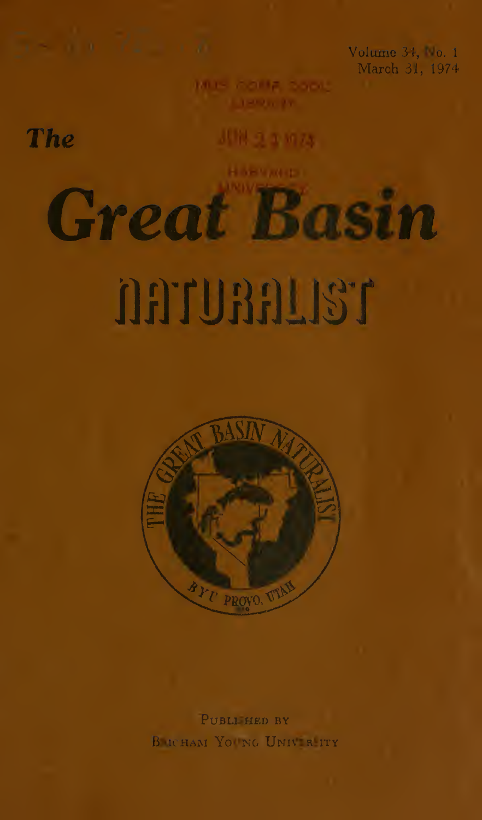Volume 34, No. 1 March 31, 1974

The

川悦 うま 57.3

**Great Basin** 

# **TELLGATION**



PUBLI HED BY B ICHAM YOUNG UNIVER ITY